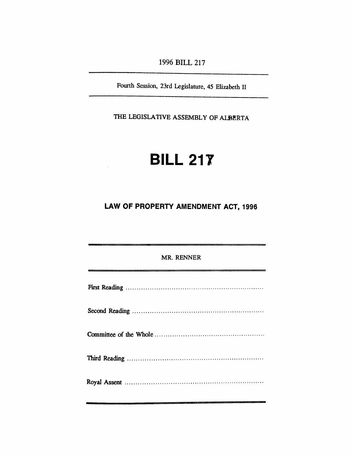*1996 BILL 217*

*Fourth Session, 23rd Legislature, 45 Elizabeth II*

*THE LEGISLATIVE ASSEMBLY OF ALBERTA*

# *BILL 217*

*LAW OF PROPERTY AMENDMENT ACT, 1996*

| MR. RENNER                                                    |
|---------------------------------------------------------------|
| <u>aliyya mahalisi mwaka wa sana aliyofanyika mwaka 2008.</u> |
|                                                               |
|                                                               |
|                                                               |
|                                                               |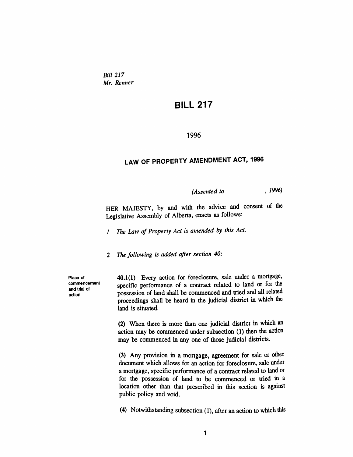*Bill 217 Mr. Renner*

### *BILL 217*

#### *1996*

## *LAW OF PROPERTY AMENDMENT ACT, 1996*

*(Assented to , 1996)*

*HER MAJESTY, by and with the advice and consent of the Legislative Assembly of Alberta, enacts as follows:*

*<sup>1</sup> The Law of Property Act is amended by this Act.*

*2 The following is added after section 40:*

*Place of commencement and trial of action*

*40.1(1) Every action for foreclosure, sale under a mortgage, specific performance of a contract related to land or for the possession of land shall be commenced and tried and all related proceedings shall be heard in the judicial district in which the land is situated.*

*(2) When there is more than one judicial district in which an action may be commenced under subsection (1) then the action may be commenced in any one of those judicial districts.*

*(3) Any provision in a mortgage, agreement for sale or other document which allows for an action for foreclosure, sale under a mortgage, specific performance of a contract related to land or for the possession of land to be commenced or tried in a location other than that prescribed in this section is against public policy and void.*

*(4) Notwithstanding subsection (1), after an action to which this*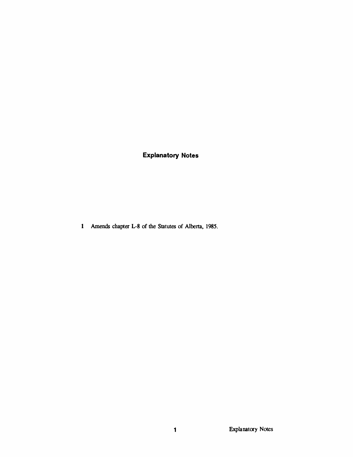## *Explanatory Notes*

*Amends chapter L-8 of the Statutes of Alberta, 1985.*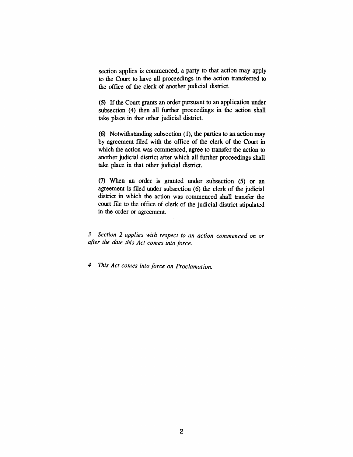*section applies is commenced, a party to that action may apply to the Court to have all proceedings in the action transferred to the office of the clerk of another judicial district.*

*(5) If the Court grants an order pursuant to an application under subsection (4) then all further proceedings in the action shall take place in that other judicial district.*

*(6) Notwithstanding subsection (1), the parties to an action may by agreement filed with the office of the clerk of the Court in which the action was commenced, agree to transfer the action to another judicial district after which all further proceedings shall take place in that other judicial district.*

*(7) When an order is granted under subsection (5) or an agreement is filed under subsection (6) the clerk of the judicial district in which the action was commenced shall transfer the court file to the office of clerk of the judicial district stipulated in the order or agreement.*

*3 Section 2 applies with respect to an action commenced on or after the date this Act comes into force.*

*4 This Act comes into force on Proclamation.*